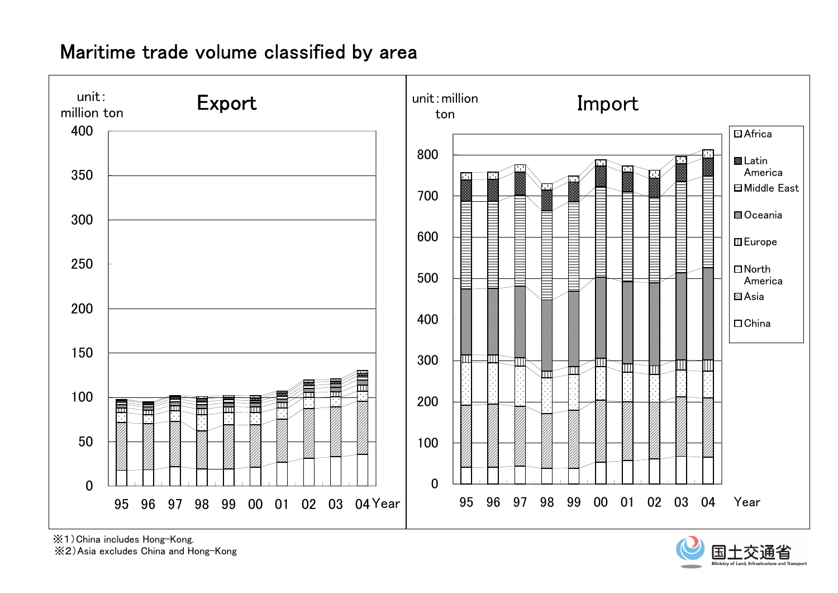## Maritime trade volume classified by area



※1)China includes Hong-Kong.

※2)Asia excludes China and Hong-Kong

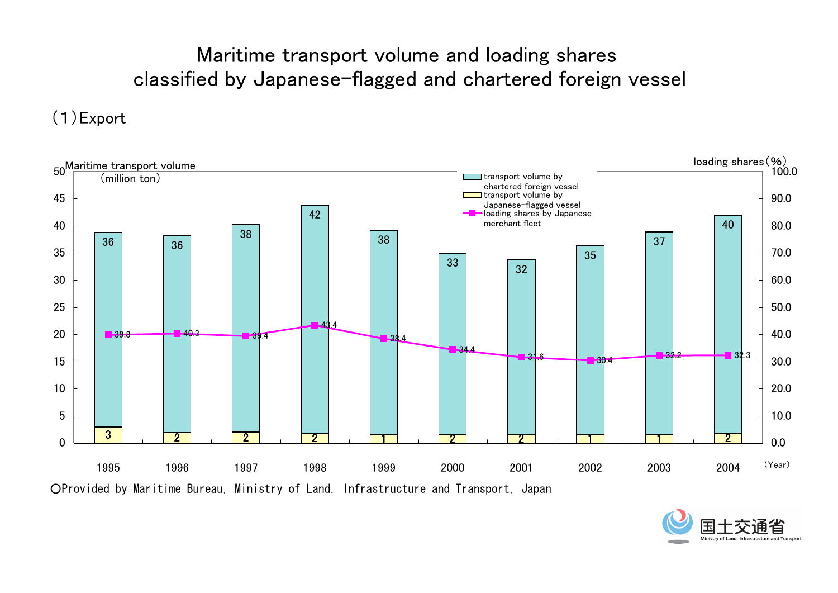# Maritime transport volume and loading shares classified by Japanese-flagged and chartered foreign vessel

## (1)Export



○Provided by Maritime Bureau, Ministry of Land, Infrastructure and Transport, Japan

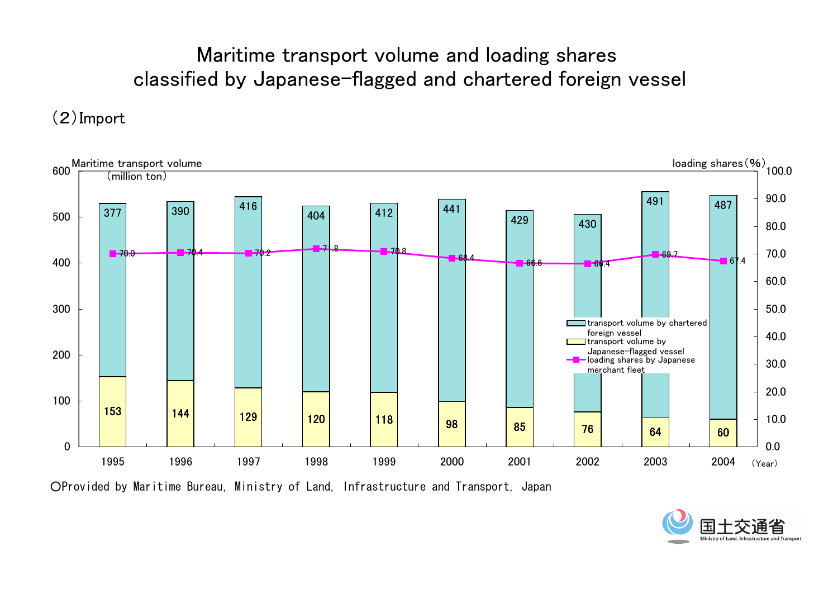# Maritime transport volume and loading shares classified by Japanese-flagged and chartered foreign vessel

## (2)Import



○Provided by Maritime Bureau, Ministry of Land, Infrastructure and Transport, Japan

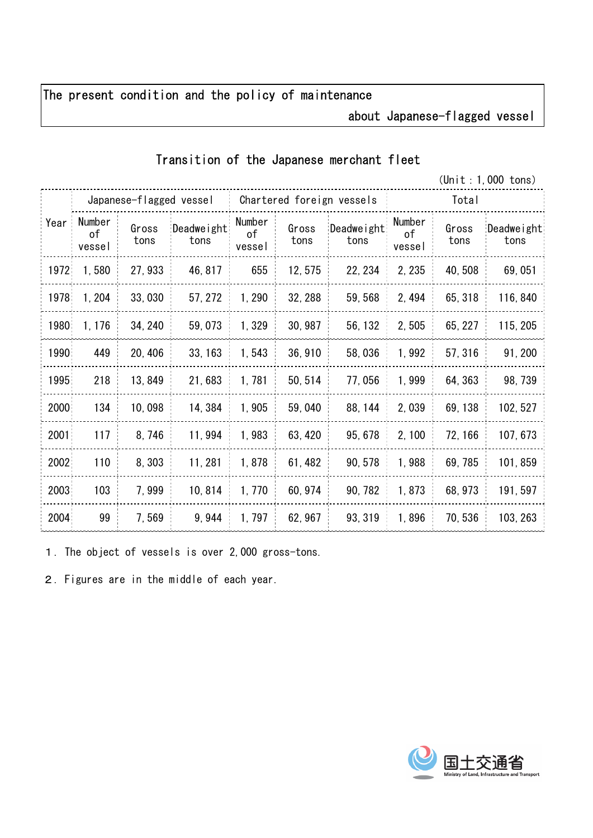### The present condition and the policy of maintenance

### about Japanese-flagged vessel

#### Transition of the Japanese merchant fleet

(Unit:1,000 tons)

| Year  | Japanese-flagged vessel |               |                    | Chartered foreign vessels |               |                    | Total                  |               |                    |
|-------|-------------------------|---------------|--------------------|---------------------------|---------------|--------------------|------------------------|---------------|--------------------|
|       | Number<br>οf<br>vessel  | Gross<br>tons | Deadweight<br>tons | Number<br>οf<br>vessel    | Gross<br>tons | Deadweight<br>tons | Number<br>оf<br>vessel | Gross<br>tons | Deadweight<br>tons |
| 1972  | 1,580                   | 27, 933       | 46, 817            | 655                       | 12, 575       | 22, 234            | 2, 235                 | 40, 508       | 69,051             |
| 1978  | 1, 204                  | 33,030        | 57, 272            | 1,290                     | 32, 288       | 59, 568            | 2, 494                 | 65, 318       | 116,840            |
| 1980  | 1, 176                  | 34, 240       | 59,073             | 1,329                     | 30, 987       | 56, 132            | 2,505                  | 65, 227       | 115, 205           |
| 1990  | 449                     | 20, 406       | 33, 163            | 1,543                     | 36, 910       | 58,036             | 1,992                  | 57, 316       | 91, 200            |
| 1995. | 218                     | 13,849        | 21,683             | 1,781                     | 50, 514       | 77,056             | 1,999                  | 64, 363       | 98, 739            |
| 2000  | 134                     | 10,098        | 14, 384            | 1,905                     | 59,040        | 88, 144            | 2,039                  | 69, 138       | 102, 527           |
| 2001  | 117                     | 8,746         | 11,994             | 1,983                     | 63, 420       | 95, 678            | 2,100                  | 72, 166       | 107, 673           |
| 2002  | 110                     | 8,303         | 11, 281            | 1,878                     | 61, 482       | 90, 578            | 1,988                  | 69, 785       | 101, 859           |
| 2003  | 103                     | 7,999         | 10,814             | 1,770                     | 60, 974       | 90, 782            | 1,873                  | 68, 973       | 191, 597           |
| 2004  | 99                      | 7,569         | 9,944              | 1,797                     | 62, 967       | 93, 319            | 1,896                  | 70,536        | 103, 263           |

1.The object of vessels is over 2,000 gross-tons.

2.Figures are in the middle of each year.

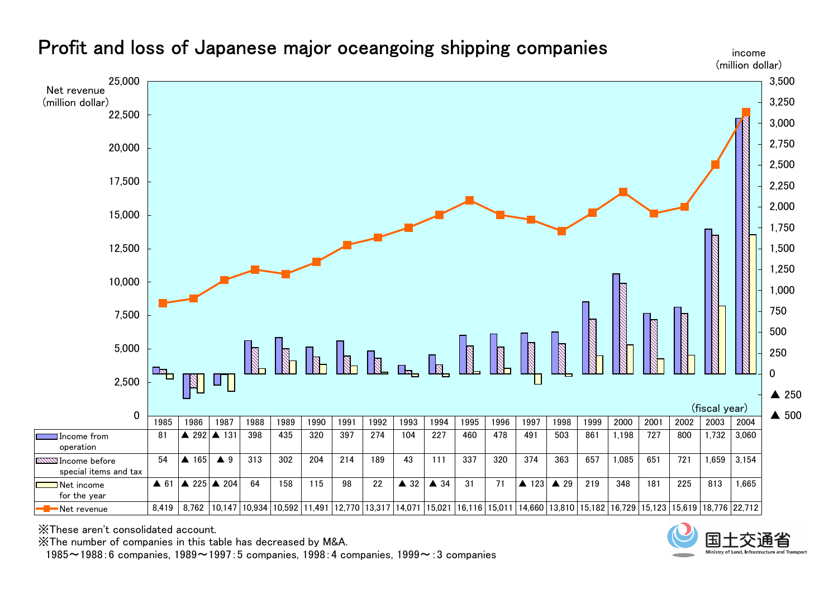

### Profit and loss of Japanese major oceangoing shipping companies

※These aren't consolidated account.

※The number of companies in this table has decreased by M&A.

1985~1988:6 companies, 1989~1997:5 companies, 1998:4 companies, 1999~:3 companies



income